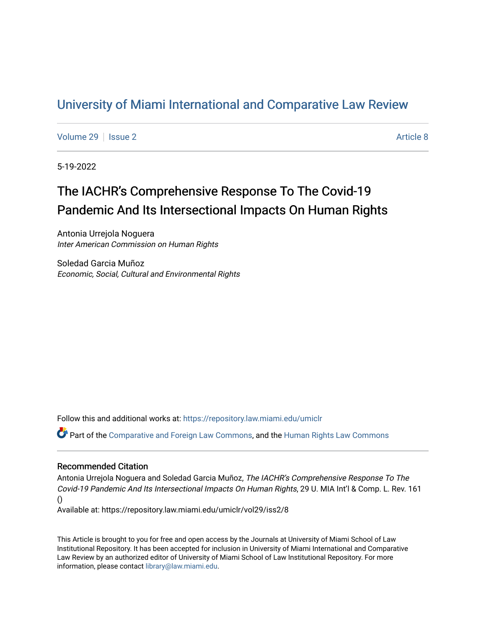# [University of Miami International and Comparative Law Review](https://repository.law.miami.edu/umiclr)

[Volume 29](https://repository.law.miami.edu/umiclr/vol29) | [Issue 2](https://repository.law.miami.edu/umiclr/vol29/iss2) Article 8

5-19-2022

# The IACHR's Comprehensive Response To The Covid-19 Pandemic And Its Intersectional Impacts On Human Rights

Antonia Urrejola Noguera Inter American Commission on Human Rights

Soledad Garcia Muñoz Economic, Social, Cultural and Environmental Rights

Follow this and additional works at: [https://repository.law.miami.edu/umiclr](https://repository.law.miami.edu/umiclr?utm_source=repository.law.miami.edu%2Fumiclr%2Fvol29%2Fiss2%2F8&utm_medium=PDF&utm_campaign=PDFCoverPages)

Part of the [Comparative and Foreign Law Commons,](https://network.bepress.com/hgg/discipline/836?utm_source=repository.law.miami.edu%2Fumiclr%2Fvol29%2Fiss2%2F8&utm_medium=PDF&utm_campaign=PDFCoverPages) and the [Human Rights Law Commons](https://network.bepress.com/hgg/discipline/847?utm_source=repository.law.miami.edu%2Fumiclr%2Fvol29%2Fiss2%2F8&utm_medium=PDF&utm_campaign=PDFCoverPages)

### Recommended Citation

Antonia Urrejola Noguera and Soledad Garcia Muñoz, The IACHR's Comprehensive Response To The Covid-19 Pandemic And Its Intersectional Impacts On Human Rights, 29 U. MIA Int'l & Comp. L. Rev. 161 ()

Available at: https://repository.law.miami.edu/umiclr/vol29/iss2/8

This Article is brought to you for free and open access by the Journals at University of Miami School of Law Institutional Repository. It has been accepted for inclusion in University of Miami International and Comparative Law Review by an authorized editor of University of Miami School of Law Institutional Repository. For more information, please contact [library@law.miami.edu](mailto:library@law.miami.edu).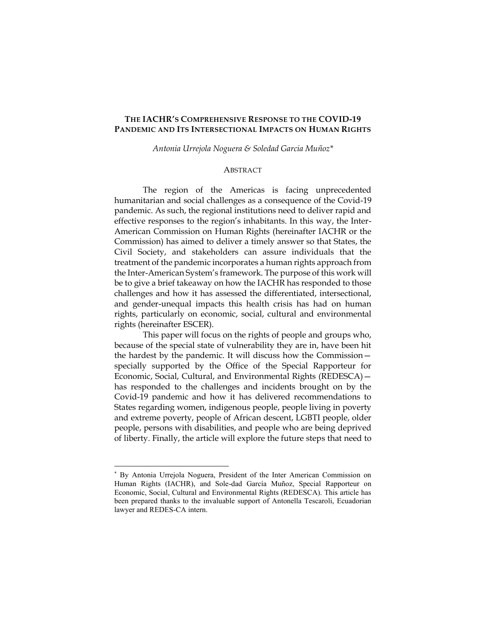#### **THE IACHR'S COMPREHENSIVE RESPONSE TO THE COVID-19 PANDEMIC AND ITS INTERSECTIONAL IMPACTS ON HUMAN RIGHTS**

*Antonia Urrejola Noguera & Soledad Garcia Muñoz\**

#### ABSTRACT

The region of the Americas is facing unprecedented humanitarian and social challenges as a consequence of the Covid-19 pandemic. As such, the regional institutions need to deliver rapid and effective responses to the region's inhabitants. In this way, the Inter-American Commission on Human Rights (hereinafter IACHR or the Commission) has aimed to deliver a timely answer so that States, the Civil Society, and stakeholders can assure individuals that the treatment of the pandemic incorporates a human rights approach from the Inter-American System's framework. The purpose of this work will be to give a brief takeaway on how the IACHR has responded to those challenges and how it has assessed the differentiated, intersectional, and gender-unequal impacts this health crisis has had on human rights, particularly on economic, social, cultural and environmental rights (hereinafter ESCER).

This paper will focus on the rights of people and groups who, because of the special state of vulnerability they are in, have been hit the hardest by the pandemic. It will discuss how the Commission specially supported by the Office of the Special Rapporteur for Economic, Social, Cultural, and Environmental Rights (REDESCA) has responded to the challenges and incidents brought on by the Covid-19 pandemic and how it has delivered recommendations to States regarding women, indigenous people, people living in poverty and extreme poverty, people of African descent, LGBTI people, older people, persons with disabilities, and people who are being deprived of liberty. Finally, the article will explore the future steps that need to

<sup>\*</sup> By Antonia Urrejola Noguera, President of the Inter American Commission on Human Rights (IACHR), and Sole-dad García Muñoz, Special Rapporteur on Economic, Social, Cultural and Environmental Rights (REDESCA). This article has been prepared thanks to the invaluable support of Antonella Tescaroli, Ecuadorian lawyer and REDES-CA intern.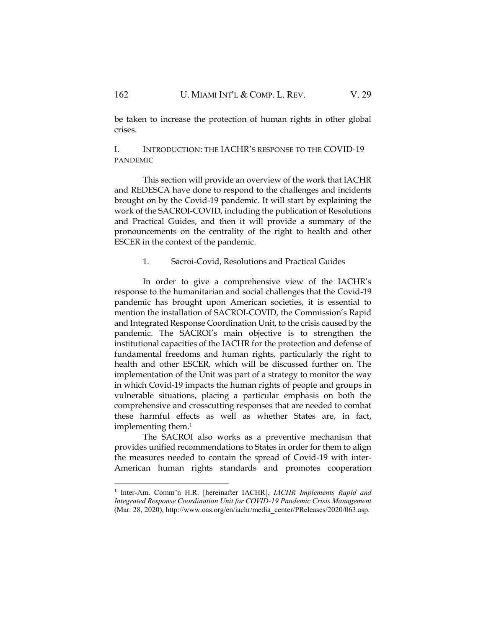be taken to increase the protection of human rights in other global crises.

## I. INTRODUCTION: THE IACHR'S RESPONSE TO THE COVID-19 PANDEMIC

This section will provide an overview of the work that IACHR and REDESCA have done to respond to the challenges and incidents brought on by the Covid-19 pandemic. It will start by explaining the work of the SACROI-COVID, including the publication of Resolutions and Practical Guides, and then it will provide a summary of the pronouncements on the centrality of the right to health and other ESCER in the context of the pandemic.

1. Sacroi-Covid, Resolutions and Practical Guides

In order to give a comprehensive view of the IACHR's response to the humanitarian and social challenges that the Covid-19 pandemic has brought upon American societies, it is essential to mention the installation of SACROI-COVID, the Commission's Rapid and Integrated Response Coordination Unit, to the crisis caused by the pandemic. The SACROI's main objective is to strengthen the institutional capacities of the IACHR for the protection and defense of fundamental freedoms and human rights, particularly the right to health and other ESCER, which will be discussed further on. The implementation of the Unit was part of a strategy to monitor the way in which Covid-19 impacts the human rights of people and groups in vulnerable situations, placing a particular emphasis on both the comprehensive and crosscutting responses that are needed to combat these harmful effects as well as whether States are, in fact, implementing them.<sup>1</sup>

The SACROI also works as a preventive mechanism that provides unified recommendations to States in order for them to align the measures needed to contain the spread of Covid-19 with inter-American human rights standards and promotes cooperation

<sup>&</sup>lt;sup>1</sup> Inter-Am. Comm'n H.R. [hereinafter IACHR], *IACHR Implements Rapid and Integrated Response Coordination Unit for COVID-19 Pandemic Crisis Management* (Mar. 28, 2020), http://www.oas.org/en/iachr/media\_center/PReleases/2020/063.asp.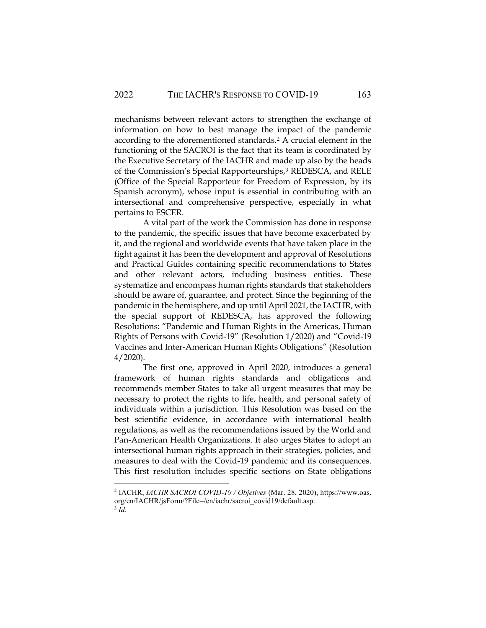mechanisms between relevant actors to strengthen the exchange of information on how to best manage the impact of the pandemic according to the aforementioned standards.<sup>2</sup> A crucial element in the functioning of the SACROI is the fact that its team is coordinated by the Executive Secretary of the IACHR and made up also by the heads of the Commission's Special Rapporteurships,<sup>3</sup> REDESCA, and RELE (Office of the Special Rapporteur for Freedom of Expression, by its Spanish acronym), whose input is essential in contributing with an intersectional and comprehensive perspective, especially in what pertains to ESCER.

A vital part of the work the Commission has done in response to the pandemic, the specific issues that have become exacerbated by it, and the regional and worldwide events that have taken place in the fight against it has been the development and approval of Resolutions and Practical Guides containing specific recommendations to States and other relevant actors, including business entities. These systematize and encompass human rights standards that stakeholders should be aware of, guarantee, and protect. Since the beginning of the pandemic in the hemisphere, and up until April 2021, the IACHR, with the special support of REDESCA, has approved the following Resolutions: "Pandemic and Human Rights in the Americas, Human Rights of Persons with Covid-19" (Resolution 1/2020) and "Covid-19 Vaccines and Inter-American Human Rights Obligations" (Resolution 4/2020).

The first one, approved in April 2020, introduces a general framework of human rights standards and obligations and recommends member States to take all urgent measures that may be necessary to protect the rights to life, health, and personal safety of individuals within a jurisdiction. This Resolution was based on the best scientific evidence, in accordance with international health regulations, as well as the recommendations issued by the World and Pan-American Health Organizations. It also urges States to adopt an intersectional human rights approach in their strategies, policies, and measures to deal with the Covid-19 pandemic and its consequences. This first resolution includes specific sections on State obligations

<sup>2</sup> IACHR, *IACHR SACROI COVID-19 / Objetives* (Mar. 28, 2020), https://www.oas. org/en/IACHR/jsForm/?File=/en/iachr/sacroi\_covid19/default.asp. 3 *Id.*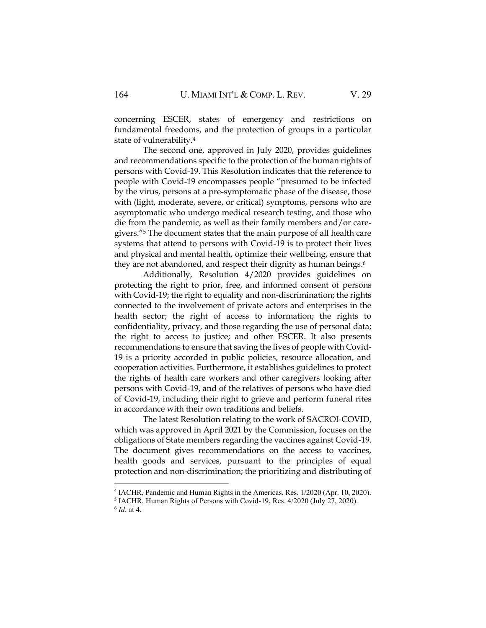concerning ESCER, states of emergency and restrictions on fundamental freedoms, and the protection of groups in a particular state of vulnerability.<sup>4</sup>

The second one, approved in July 2020, provides guidelines and recommendations specific to the protection of the human rights of persons with Covid-19. This Resolution indicates that the reference to people with Covid-19 encompasses people "presumed to be infected by the virus, persons at a pre-symptomatic phase of the disease, those with (light, moderate, severe, or critical) symptoms, persons who are asymptomatic who undergo medical research testing, and those who die from the pandemic, as well as their family members and/or caregivers."<sup>5</sup> The document states that the main purpose of all health care systems that attend to persons with Covid-19 is to protect their lives and physical and mental health, optimize their wellbeing, ensure that they are not abandoned, and respect their dignity as human beings.<sup>6</sup>

Additionally, Resolution 4/2020 provides guidelines on protecting the right to prior, free, and informed consent of persons with Covid-19; the right to equality and non-discrimination; the rights connected to the involvement of private actors and enterprises in the health sector; the right of access to information; the rights to confidentiality, privacy, and those regarding the use of personal data; the right to access to justice; and other ESCER. It also presents recommendations to ensure that saving the lives of people with Covid-19 is a priority accorded in public policies, resource allocation, and cooperation activities. Furthermore, it establishes guidelines to protect the rights of health care workers and other caregivers looking after persons with Covid-19, and of the relatives of persons who have died of Covid-19, including their right to grieve and perform funeral rites in accordance with their own traditions and beliefs.

The latest Resolution relating to the work of SACROI-COVID, which was approved in April 2021 by the Commission, focuses on the obligations of State members regarding the vaccines against Covid-19. The document gives recommendations on the access to vaccines, health goods and services, pursuant to the principles of equal protection and non-discrimination; the prioritizing and distributing of

<sup>&</sup>lt;sup>4</sup> IACHR, Pandemic and Human Rights in the Americas, Res. 1/2020 (Apr. 10, 2020).

<sup>&</sup>lt;sup>5</sup> IACHR, Human Rights of Persons with Covid-19, Res. 4/2020 (July 27, 2020).

<sup>6</sup> *Id.* at 4.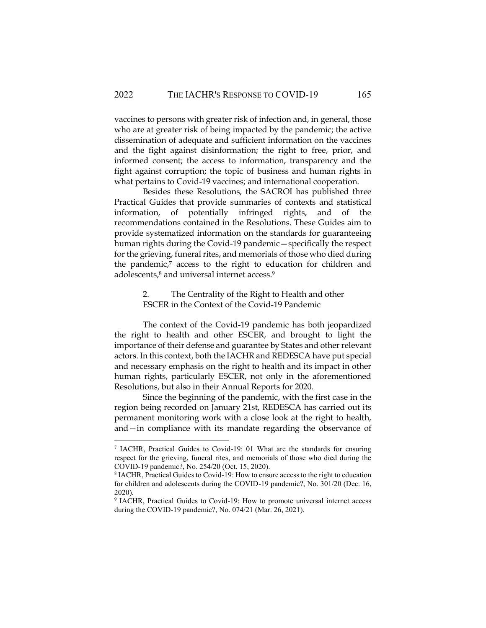vaccines to persons with greater risk of infection and, in general, those who are at greater risk of being impacted by the pandemic; the active dissemination of adequate and sufficient information on the vaccines and the fight against disinformation; the right to free, prior, and informed consent; the access to information, transparency and the fight against corruption; the topic of business and human rights in what pertains to Covid-19 vaccines; and international cooperation.

Besides these Resolutions, the SACROI has published three Practical Guides that provide summaries of contexts and statistical information, of potentially infringed rights, and of the recommendations contained in the Resolutions. These Guides aim to provide systematized information on the standards for guaranteeing human rights during the Covid-19 pandemic—specifically the respect for the grieving, funeral rites, and memorials of those who died during the pandemic,<sup>7</sup> access to the right to education for children and adolescents,<sup>8</sup> and universal internet access.<sup>9</sup>

> 2. The Centrality of the Right to Health and other ESCER in the Context of the Covid-19 Pandemic

The context of the Covid-19 pandemic has both jeopardized the right to health and other ESCER, and brought to light the importance of their defense and guarantee by States and other relevant actors. In this context, both the IACHR and REDESCA have put special and necessary emphasis on the right to health and its impact in other human rights, particularly ESCER, not only in the aforementioned Resolutions, but also in their Annual Reports for 2020.

Since the beginning of the pandemic, with the first case in the region being recorded on January 21st, REDESCA has carried out its permanent monitoring work with a close look at the right to health, and—in compliance with its mandate regarding the observance of

<sup>7</sup> IACHR, Practical Guides to Covid-19: 01 What are the standards for ensuring respect for the grieving, funeral rites, and memorials of those who died during the COVID-19 pandemic?, No. 254/20 (Oct. 15, 2020).

<sup>&</sup>lt;sup>8</sup> IACHR, Practical Guides to Covid-19: How to ensure access to the right to education for children and adolescents during the COVID-19 pandemic?, No. 301/20 (Dec. 16, 2020).

<sup>&</sup>lt;sup>9</sup> IACHR, Practical Guides to Covid-19: How to promote universal internet access during the COVID-19 pandemic?, No. 074/21 (Mar. 26, 2021).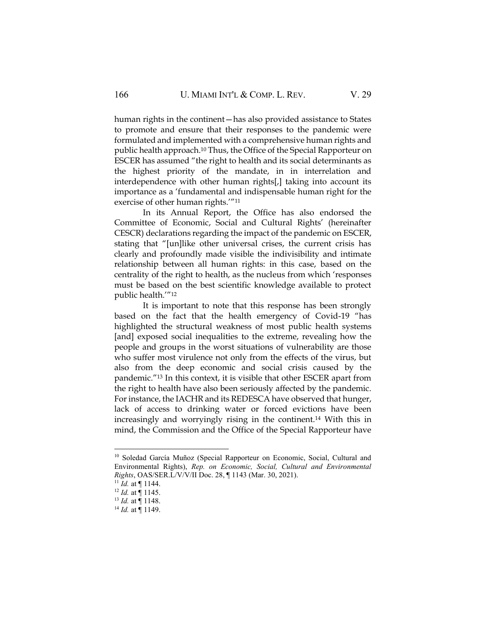human rights in the continent—has also provided assistance to States to promote and ensure that their responses to the pandemic were formulated and implemented with a comprehensive human rights and public health approach.<sup>10</sup> Thus, the Office of the Special Rapporteur on ESCER has assumed "the right to health and its social determinants as the highest priority of the mandate, in in interrelation and interdependence with other human rights[,] taking into account its importance as a 'fundamental and indispensable human right for the exercise of other human rights.'"<sup>11</sup>

In its Annual Report, the Office has also endorsed the Committee of Economic, Social and Cultural Rights' (hereinafter CESCR) declarations regarding the impact of the pandemic on ESCER, stating that "[un]like other universal crises, the current crisis has clearly and profoundly made visible the indivisibility and intimate relationship between all human rights: in this case, based on the centrality of the right to health, as the nucleus from which 'responses must be based on the best scientific knowledge available to protect public health.'"<sup>12</sup>

It is important to note that this response has been strongly based on the fact that the health emergency of Covid-19 "has highlighted the structural weakness of most public health systems [and] exposed social inequalities to the extreme, revealing how the people and groups in the worst situations of vulnerability are those who suffer most virulence not only from the effects of the virus, but also from the deep economic and social crisis caused by the pandemic."<sup>13</sup> In this context, it is visible that other ESCER apart from the right to health have also been seriously affected by the pandemic. For instance, the IACHR and its REDESCA have observed that hunger, lack of access to drinking water or forced evictions have been increasingly and worryingly rising in the continent.<sup>14</sup> With this in mind, the Commission and the Office of the Special Rapporteur have

<sup>10</sup> Soledad García Muñoz (Special Rapporteur on Economic, Social, Cultural and Environmental Rights), *Rep. on Economic, Social, Cultural and Environmental Rights*, OAS/SER.L/V/V/II Doc. 28, ¶ 1143 (Mar. 30, 2021).

 $^{11}$  *Id.* at ¶ 1144.

<sup>12</sup> *Id.* at ¶ 1145.

<sup>13</sup> *Id.* at ¶ 1148.

<sup>14</sup> *Id.* at ¶ 1149.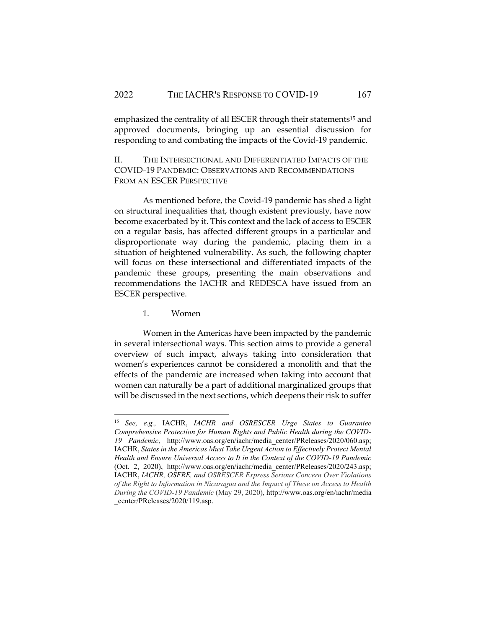emphasized the centrality of all ESCER through their statements<sup>15</sup> and approved documents, bringing up an essential discussion for responding to and combating the impacts of the Covid-19 pandemic.

II. THE INTERSECTIONAL AND DIFFERENTIATED IMPACTS OF THE COVID-19 PANDEMIC: OBSERVATIONS AND RECOMMENDATIONS FROM AN ESCER PERSPECTIVE

As mentioned before, the Covid-19 pandemic has shed a light on structural inequalities that, though existent previously, have now become exacerbated by it. This context and the lack of access to ESCER on a regular basis, has affected different groups in a particular and disproportionate way during the pandemic, placing them in a situation of heightened vulnerability. As such, the following chapter will focus on these intersectional and differentiated impacts of the pandemic these groups, presenting the main observations and recommendations the IACHR and REDESCA have issued from an ESCER perspective.

1. Women

Women in the Americas have been impacted by the pandemic in several intersectional ways. This section aims to provide a general overview of such impact, always taking into consideration that women's experiences cannot be considered a monolith and that the effects of the pandemic are increased when taking into account that women can naturally be a part of additional marginalized groups that will be discussed in the next sections, which deepens their risk to suffer

<sup>15</sup> *See, e.g.,* IACHR, *IACHR and OSRESCER Urge States to Guarantee Comprehensive Protection for Human Rights and Public Health during the COVID-19 Pandemic*, http://www.oas.org/en/iachr/media\_center/PReleases/2020/060.asp; IACHR, *States in the Americas Must Take Urgent Action to Effectively Protect Mental Health and Ensure Universal Access to It in the Context of the COVID-19 Pandemic* (Oct. 2, 2020), http://www.oas.org/en/iachr/media\_center/PReleases/2020/243.asp; IACHR, *IACHR, OSFRE, and OSRESCER Express Serious Concern Over Violations of the Right to Information in Nicaragua and the Impact of These on Access to Health During the COVID-19 Pandemic* (May 29, 2020), http://www.oas.org/en/iachr/media \_center/PReleases/2020/119.asp.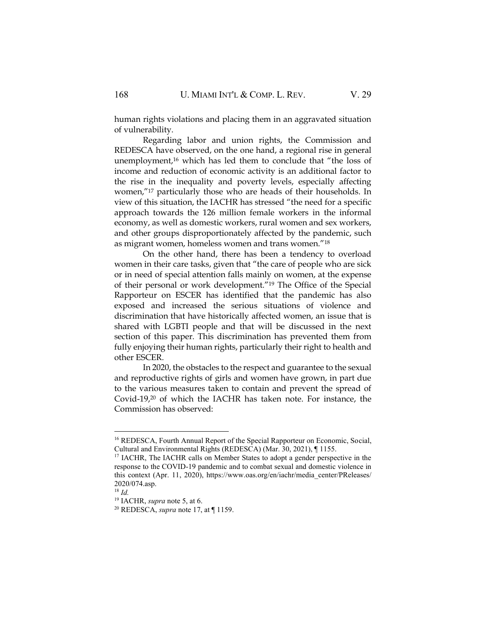human rights violations and placing them in an aggravated situation of vulnerability.

Regarding labor and union rights, the Commission and REDESCA have observed, on the one hand, a regional rise in general unemployment,<sup>16</sup> which has led them to conclude that "the loss of income and reduction of economic activity is an additional factor to the rise in the inequality and poverty levels, especially affecting women,"<sup>17</sup> particularly those who are heads of their households. In view of this situation, the IACHR has stressed "the need for a specific approach towards the 126 million female workers in the informal economy, as well as domestic workers, rural women and sex workers, and other groups disproportionately affected by the pandemic, such as migrant women, homeless women and trans women."<sup>18</sup>

On the other hand, there has been a tendency to overload women in their care tasks, given that "the care of people who are sick or in need of special attention falls mainly on women, at the expense of their personal or work development."<sup>19</sup> The Office of the Special Rapporteur on ESCER has identified that the pandemic has also exposed and increased the serious situations of violence and discrimination that have historically affected women, an issue that is shared with LGBTI people and that will be discussed in the next section of this paper. This discrimination has prevented them from fully enjoying their human rights, particularly their right to health and other ESCER.

In 2020, the obstacles to the respect and guarantee to the sexual and reproductive rights of girls and women have grown, in part due to the various measures taken to contain and prevent the spread of Covid-19,<sup>20</sup> of which the IACHR has taken note. For instance, the Commission has observed:

<sup>&</sup>lt;sup>16</sup> REDESCA, Fourth Annual Report of the Special Rapporteur on Economic, Social, Cultural and Environmental Rights (REDESCA) (Mar. 30, 2021), ¶ 1155.

<sup>&</sup>lt;sup>17</sup> IACHR, The IACHR calls on Member States to adopt a gender perspective in the response to the COVID-19 pandemic and to combat sexual and domestic violence in this context (Apr. 11, 2020), https://www.oas.org/en/iachr/media\_center/PReleases/ 2020/074.asp.

<sup>18</sup> *Id.*

<sup>19</sup> IACHR, *supra* note 5, at 6.

<sup>20</sup> REDESCA, *supra* note 17, at ¶ 1159.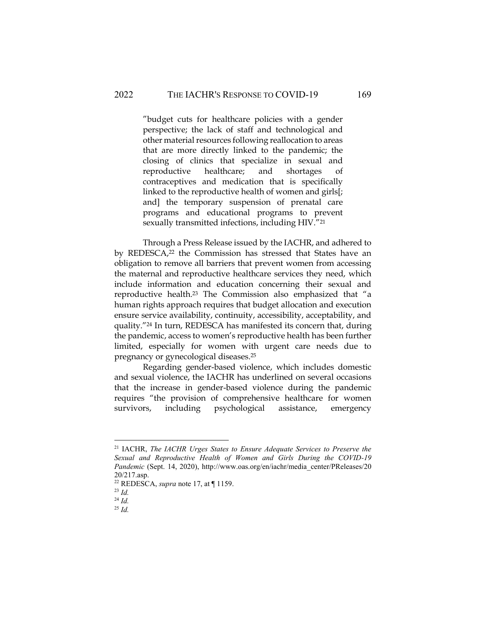"budget cuts for healthcare policies with a gender perspective; the lack of staff and technological and other material resources following reallocation to areas that are more directly linked to the pandemic; the closing of clinics that specialize in sexual and reproductive healthcare; and shortages of contraceptives and medication that is specifically linked to the reproductive health of women and girls[; and] the temporary suspension of prenatal care programs and educational programs to prevent sexually transmitted infections, including HIV."<sup>21</sup>

Through a Press Release issued by the IACHR, and adhered to by REDESCA,<sup>22</sup> the Commission has stressed that States have an obligation to remove all barriers that prevent women from accessing the maternal and reproductive healthcare services they need, which include information and education concerning their sexual and reproductive health.<sup>23</sup> The Commission also emphasized that "a human rights approach requires that budget allocation and execution ensure service availability, continuity, accessibility, acceptability, and quality."<sup>24</sup> In turn, REDESCA has manifested its concern that, during the pandemic, access to women's reproductive health has been further limited, especially for women with urgent care needs due to pregnancy or gynecological diseases.<sup>25</sup>

Regarding gender-based violence, which includes domestic and sexual violence, the IACHR has underlined on several occasions that the increase in gender-based violence during the pandemic requires "the provision of comprehensive healthcare for women survivors, including psychological assistance, emergency

<sup>21</sup> IACHR, *The IACHR Urges States to Ensure Adequate Services to Preserve the Sexual and Reproductive Health of Women and Girls During the COVID-19 Pandemic* (Sept. 14, 2020), http://www.oas.org/en/iachr/media\_center/PReleases/20 20/217.asp.

<sup>22</sup> REDESCA, *supra* note 17, at ¶ 1159.

<sup>23</sup> *Id.*

<sup>24</sup> *Id.*

<sup>25</sup> *Id.*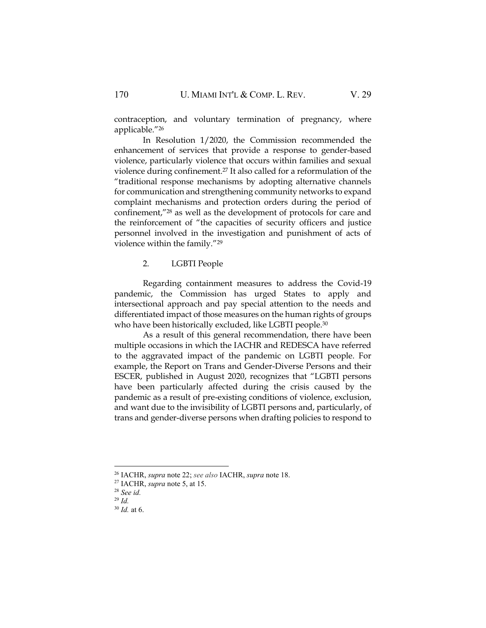contraception, and voluntary termination of pregnancy, where applicable."<sup>26</sup>

In Resolution 1/2020, the Commission recommended the enhancement of services that provide a response to gender-based violence, particularly violence that occurs within families and sexual violence during confinement.<sup>27</sup> It also called for a reformulation of the "traditional response mechanisms by adopting alternative channels for communication and strengthening community networks to expand complaint mechanisms and protection orders during the period of confinement,"<sup>28</sup> as well as the development of protocols for care and the reinforcement of "the capacities of security officers and justice personnel involved in the investigation and punishment of acts of violence within the family."<sup>29</sup>

2. LGBTI People

Regarding containment measures to address the Covid-19 pandemic, the Commission has urged States to apply and intersectional approach and pay special attention to the needs and differentiated impact of those measures on the human rights of groups who have been historically excluded, like LGBTI people.<sup>30</sup>

As a result of this general recommendation, there have been multiple occasions in which the IACHR and REDESCA have referred to the aggravated impact of the pandemic on LGBTI people. For example, the Report on Trans and Gender-Diverse Persons and their ESCER, published in August 2020, recognizes that "LGBTI persons have been particularly affected during the crisis caused by the pandemic as a result of pre-existing conditions of violence, exclusion, and want due to the invisibility of LGBTI persons and, particularly, of trans and gender-diverse persons when drafting policies to respond to

<sup>26</sup> IACHR, *supra* note 22; *see also* IACHR, *supra* note 18.

<sup>27</sup> IACHR, *supra* note 5, at 15.

<sup>28</sup> *See id.*

<sup>29</sup> *Id.*

<sup>30</sup> *Id.* at 6.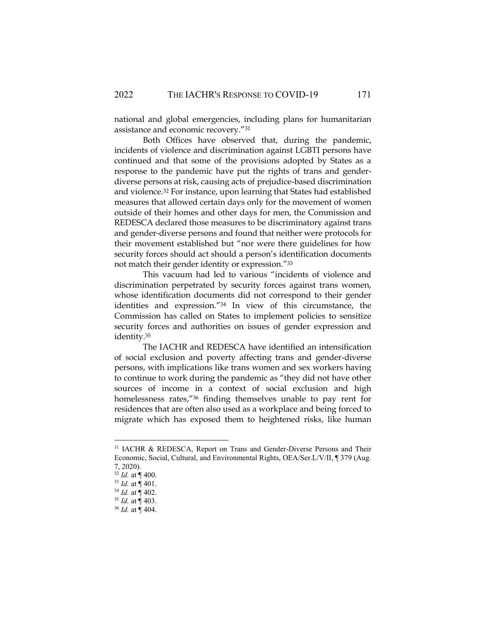national and global emergencies, including plans for humanitarian assistance and economic recovery."<sup>31</sup>

Both Offices have observed that, during the pandemic, incidents of violence and discrimination against LGBTI persons have continued and that some of the provisions adopted by States as a response to the pandemic have put the rights of trans and genderdiverse persons at risk, causing acts of prejudice-based discrimination and violence.<sup>32</sup> For instance, upon learning that States had established measures that allowed certain days only for the movement of women outside of their homes and other days for men, the Commission and REDESCA declared those measures to be discriminatory against trans and gender-diverse persons and found that neither were protocols for their movement established but "nor were there guidelines for how security forces should act should a person's identification documents not match their gender identity or expression."<sup>33</sup>

This vacuum had led to various "incidents of violence and discrimination perpetrated by security forces against trans women, whose identification documents did not correspond to their gender identities and expression."<sup>34</sup> In view of this circumstance, the Commission has called on States to implement policies to sensitize security forces and authorities on issues of gender expression and identity.<sup>35</sup>

The IACHR and REDESCA have identified an intensification of social exclusion and poverty affecting trans and gender-diverse persons, with implications like trans women and sex workers having to continue to work during the pandemic as "they did not have other sources of income in a context of social exclusion and high homelessness rates,"<sup>36</sup> finding themselves unable to pay rent for residences that are often also used as a workplace and being forced to migrate which has exposed them to heightened risks, like human

<sup>&</sup>lt;sup>31</sup> IACHR & REDESCA, Report on Trans and Gender-Diverse Persons and Their Economic, Social, Cultural, and Environmental Rights, OEA/Ser.L/V/II, ¶ 379 (Aug. 7, 2020).

<sup>32</sup> *Id.* at ¶ 400.

<sup>33</sup> *Id.* at ¶ 401.

<sup>34</sup> *Id.* at ¶ 402.

<sup>35</sup> *Id.* at ¶ 403.

<sup>36</sup> *Id.* at ¶ 404.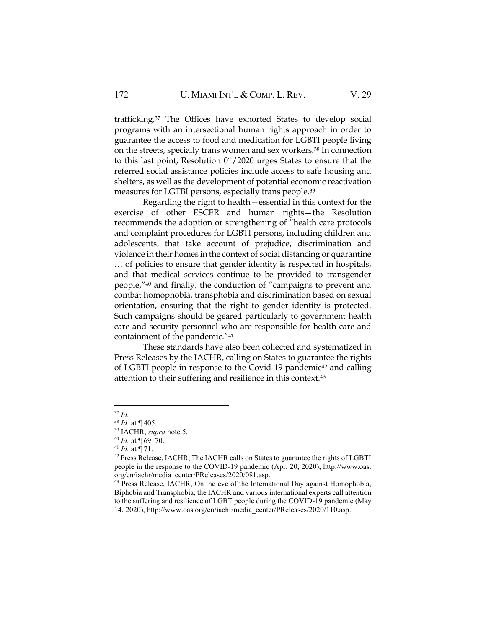trafficking.<sup>37</sup> The Offices have exhorted States to develop social programs with an intersectional human rights approach in order to guarantee the access to food and medication for LGBTI people living on the streets, specially trans women and sex workers.<sup>38</sup> In connection to this last point, Resolution 01/2020 urges States to ensure that the referred social assistance policies include access to safe housing and shelters, as well as the development of potential economic reactivation measures for LGTBI persons, especially trans people.<sup>39</sup>

Regarding the right to health—essential in this context for the exercise of other ESCER and human rights—the Resolution recommends the adoption or strengthening of "health care protocols and complaint procedures for LGBTI persons, including children and adolescents, that take account of prejudice, discrimination and violence in their homes in the context of social distancing or quarantine … of policies to ensure that gender identity is respected in hospitals, and that medical services continue to be provided to transgender people,"<sup>40</sup> and finally, the conduction of "campaigns to prevent and combat homophobia, transphobia and discrimination based on sexual orientation, ensuring that the right to gender identity is protected. Such campaigns should be geared particularly to government health care and security personnel who are responsible for health care and containment of the pandemic."<sup>41</sup>

These standards have also been collected and systematized in Press Releases by the IACHR, calling on States to guarantee the rights of LGBTI people in response to the Covid-19 pandemic<sup>42</sup> and calling attention to their suffering and resilience in this context.<sup>43</sup>

<sup>37</sup> *Id.*

<sup>38</sup> *Id.* at ¶ 405.

<sup>39</sup> IACHR, *supra* note 5.

<sup>40</sup> *Id.* at ¶ 69–70.

<sup>&</sup>lt;sup>41</sup> *Id.* at  $\int$  71.

<sup>&</sup>lt;sup>42</sup> Press Release, IACHR, The IACHR calls on States to guarantee the rights of LGBTI people in the response to the COVID-19 pandemic (Apr. 20, 2020), http://www.oas. org/en/iachr/media\_center/PReleases/2020/081.asp.

<sup>&</sup>lt;sup>43</sup> Press Release, IACHR, On the eve of the International Day against Homophobia, Biphobia and Transphobia, the IACHR and various international experts call attention to the suffering and resilience of LGBT people during the COVID-19 pandemic (May 14, 2020), http://www.oas.org/en/iachr/media\_center/PReleases/2020/110.asp.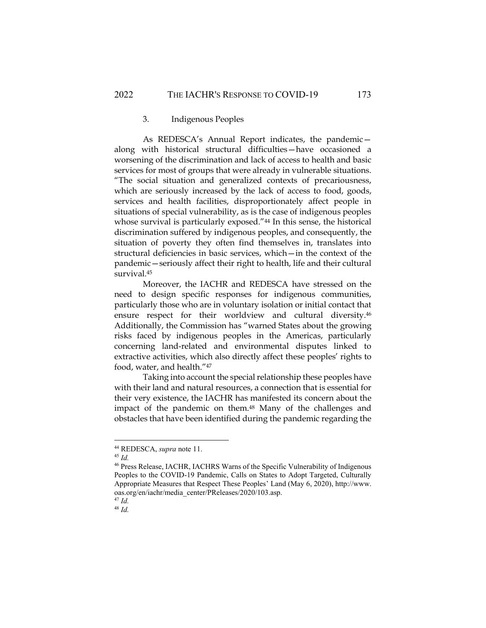#### 3. Indigenous Peoples

As REDESCA's Annual Report indicates, the pandemic along with historical structural difficulties—have occasioned a worsening of the discrimination and lack of access to health and basic services for most of groups that were already in vulnerable situations. "The social situation and generalized contexts of precariousness, which are seriously increased by the lack of access to food, goods, services and health facilities, disproportionately affect people in situations of special vulnerability, as is the case of indigenous peoples whose survival is particularly exposed."<sup>44</sup> In this sense, the historical discrimination suffered by indigenous peoples, and consequently, the situation of poverty they often find themselves in, translates into structural deficiencies in basic services, which—in the context of the pandemic—seriously affect their right to health, life and their cultural survival.<sup>45</sup>

Moreover, the IACHR and REDESCA have stressed on the need to design specific responses for indigenous communities, particularly those who are in voluntary isolation or initial contact that ensure respect for their worldview and cultural diversity.<sup>46</sup> Additionally, the Commission has "warned States about the growing risks faced by indigenous peoples in the Americas, particularly concerning land-related and environmental disputes linked to extractive activities, which also directly affect these peoples' rights to food, water, and health."<sup>47</sup>

Taking into account the special relationship these peoples have with their land and natural resources, a connection that is essential for their very existence, the IACHR has manifested its concern about the impact of the pandemic on them.<sup>48</sup> Many of the challenges and obstacles that have been identified during the pandemic regarding the

<sup>47</sup> *Id.* <sup>48</sup> *Id.*

<sup>44</sup> REDESCA, *supra* note 11.

<sup>45</sup> *Id.*

<sup>46</sup> Press Release, IACHR, IACHRS Warns of the Specific Vulnerability of Indigenous Peoples to the COVID-19 Pandemic, Calls on States to Adopt Targeted, Culturally Appropriate Measures that Respect These Peoples' Land (May 6, 2020), http://www. oas.org/en/iachr/media\_center/PReleases/2020/103.asp.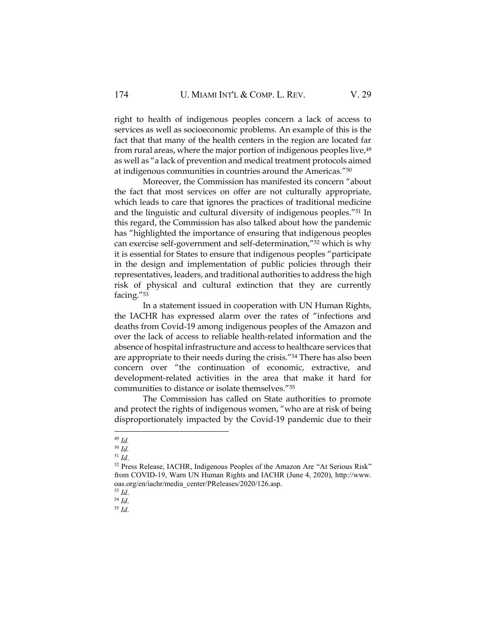right to health of indigenous peoples concern a lack of access to services as well as socioeconomic problems. An example of this is the fact that that many of the health centers in the region are located far from rural areas, where the major portion of indigenous peoples live,<sup>49</sup> as well as "a lack of prevention and medical treatment protocols aimed at indigenous communities in countries around the Americas."<sup>50</sup>

Moreover, the Commission has manifested its concern "about the fact that most services on offer are not culturally appropriate, which leads to care that ignores the practices of traditional medicine and the linguistic and cultural diversity of indigenous peoples."<sup>51</sup> In this regard, the Commission has also talked about how the pandemic has "highlighted the importance of ensuring that indigenous peoples can exercise self-government and self-determination,"<sup>52</sup> which is why it is essential for States to ensure that indigenous peoples "participate in the design and implementation of public policies through their representatives, leaders, and traditional authorities to address the high risk of physical and cultural extinction that they are currently facing."<sup>53</sup>

In a statement issued in cooperation with UN Human Rights, the IACHR has expressed alarm over the rates of "infections and deaths from Covid-19 among indigenous peoples of the Amazon and over the lack of access to reliable health-related information and the absence of hospital infrastructure and access to healthcare services that are appropriate to their needs during the crisis."<sup>54</sup> There has also been concern over "the continuation of economic, extractive, and development-related activities in the area that make it hard for communities to distance or isolate themselves."<sup>55</sup>

The Commission has called on State authorities to promote and protect the rights of indigenous women, "who are at risk of being disproportionately impacted by the Covid-19 pandemic due to their

<sup>55</sup> *Id*.

<sup>49</sup> *Id.*

<sup>50</sup> *Id.*

<sup>51</sup> *Id*.

<sup>52</sup> Press Release, IACHR, Indigenous Peoples of the Amazon Are "At Serious Risk" from COVID-19, Warn UN Human Rights and IACHR (June 4, 2020), http://www. oas.org/en/iachr/media\_center/PReleases/2020/126.asp.

<sup>53</sup> *Id*.

<sup>54</sup> *Id*.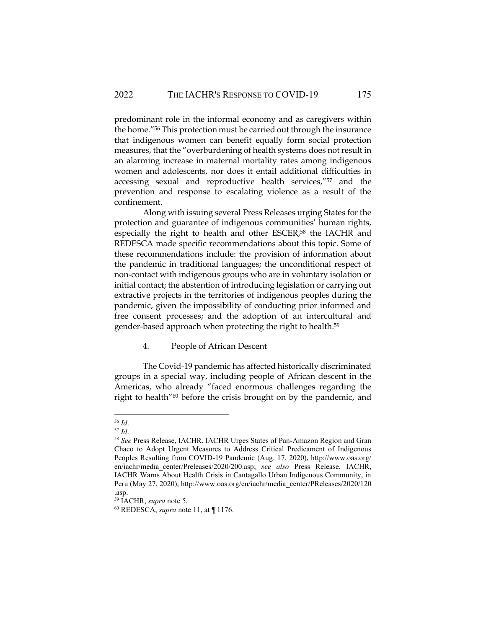predominant role in the informal economy and as caregivers within the home."<sup>56</sup> This protection must be carried out through the insurance that indigenous women can benefit equally form social protection measures, that the "overburdening of health systems does not result in an alarming increase in maternal mortality rates among indigenous women and adolescents, nor does it entail additional difficulties in accessing sexual and reproductive health services,"<sup>57</sup> and the prevention and response to escalating violence as a result of the confinement.

Along with issuing several Press Releases urging States for the protection and guarantee of indigenous communities' human rights, especially the right to health and other ESCER,<sup>58</sup> the IACHR and REDESCA made specific recommendations about this topic. Some of these recommendations include: the provision of information about the pandemic in traditional languages; the unconditional respect of non-contact with indigenous groups who are in voluntary isolation or initial contact; the abstention of introducing legislation or carrying out extractive projects in the territories of indigenous peoples during the pandemic, given the impossibility of conducting prior informed and free consent processes; and the adoption of an intercultural and gender-based approach when protecting the right to health.<sup>59</sup>

#### 4. People of African Descent

The Covid-19 pandemic has affected historically discriminated groups in a special way, including people of African descent in the Americas, who already "faced enormous challenges regarding the right to health"<sup>60</sup> before the crisis brought on by the pandemic, and

<sup>56</sup> *Id*.

<sup>57</sup> *Id*.

<sup>58</sup> *See* Press Release, IACHR, IACHR Urges States of Pan-Amazon Region and Gran Chaco to Adopt Urgent Measures to Address Critical Predicament of Indigenous Peoples Resulting from COVID-19 Pandemic (Aug. 17, 2020), http://www.oas.org/ en/iachr/media\_center/Preleases/2020/200.asp; *see also* Press Release, IACHR, IACHR Warns About Health Crisis in Cantagallo Urban Indigenous Community, in Peru (May 27, 2020), [http://www.oas.org/en/iachr/media\\_center/PReleases/2020/120](about:blank) [.asp.](about:blank)

<sup>59</sup> IACHR, *supra* note 5.

<sup>60</sup> REDESCA, *supra* note 11, at ¶ 1176.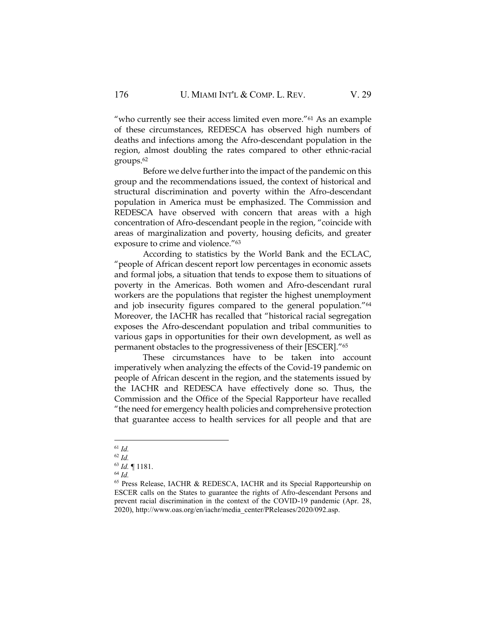"who currently see their access limited even more."<sup>61</sup> As an example of these circumstances, REDESCA has observed high numbers of deaths and infections among the Afro-descendant population in the region, almost doubling the rates compared to other ethnic-racial groups.<sup>62</sup>

Before we delve further into the impact of the pandemic on this group and the recommendations issued, the context of historical and structural discrimination and poverty within the Afro-descendant population in America must be emphasized. The Commission and REDESCA have observed with concern that areas with a high concentration of Afro-descendant people in the region, "coincide with areas of marginalization and poverty, housing deficits, and greater exposure to crime and violence."<sup>63</sup>

According to statistics by the World Bank and the ECLAC, "people of African descent report low percentages in economic assets and formal jobs, a situation that tends to expose them to situations of poverty in the Americas. Both women and Afro-descendant rural workers are the populations that register the highest unemployment and job insecurity figures compared to the general population."<sup>64</sup> Moreover, the IACHR has recalled that "historical racial segregation exposes the Afro-descendant population and tribal communities to various gaps in opportunities for their own development, as well as permanent obstacles to the progressiveness of their [ESCER]."<sup>65</sup>

These circumstances have to be taken into account imperatively when analyzing the effects of the Covid-19 pandemic on people of African descent in the region, and the statements issued by the IACHR and REDESCA have effectively done so. Thus, the Commission and the Office of the Special Rapporteur have recalled "the need for emergency health policies and comprehensive protection that guarantee access to health services for all people and that are

<sup>61</sup> *Id.*

<sup>62</sup> *Id.*

<sup>63</sup> *Id.* ¶ 1181.

<sup>64</sup> *Id.*

<sup>&</sup>lt;sup>65</sup> Press Release, IACHR & REDESCA, IACHR and its Special Rapporteurship on ESCER calls on the States to guarantee the rights of Afro-descendant Persons and prevent racial discrimination in the context of the COVID-19 pandemic (Apr. 28, 2020), http://www.oas.org/en/iachr/media\_center/PReleases/2020/092.asp.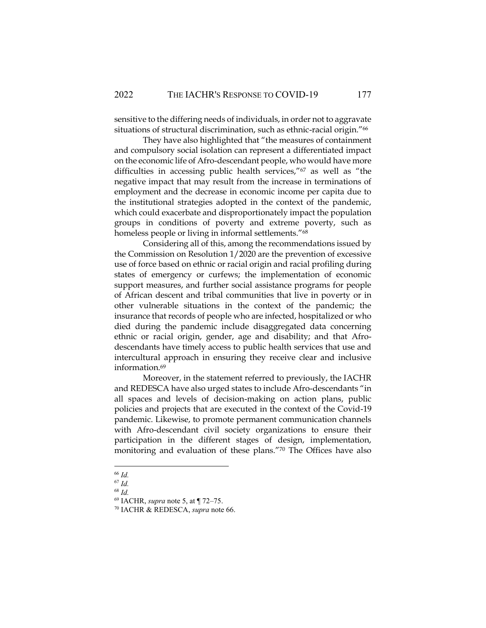sensitive to the differing needs of individuals, in order not to aggravate situations of structural discrimination, such as ethnic-racial origin."<sup>66</sup>

They have also highlighted that "the measures of containment and compulsory social isolation can represent a differentiated impact on the economic life of Afro-descendant people, who would have more difficulties in accessing public health services,"<sup>67</sup> as well as "the negative impact that may result from the increase in terminations of employment and the decrease in economic income per capita due to the institutional strategies adopted in the context of the pandemic, which could exacerbate and disproportionately impact the population groups in conditions of poverty and extreme poverty, such as homeless people or living in informal settlements."<sup>68</sup>

Considering all of this, among the recommendations issued by the Commission on Resolution 1/2020 are the prevention of excessive use of force based on ethnic or racial origin and racial profiling during states of emergency or curfews; the implementation of economic support measures, and further social assistance programs for people of African descent and tribal communities that live in poverty or in other vulnerable situations in the context of the pandemic; the insurance that records of people who are infected, hospitalized or who died during the pandemic include disaggregated data concerning ethnic or racial origin, gender, age and disability; and that Afrodescendants have timely access to public health services that use and intercultural approach in ensuring they receive clear and inclusive information.<sup>69</sup>

Moreover, in the statement referred to previously, the IACHR and REDESCA have also urged states to include Afro-descendants "in all spaces and levels of decision-making on action plans, public policies and projects that are executed in the context of the Covid-19 pandemic. Likewise, to promote permanent communication channels with Afro-descendant civil society organizations to ensure their participation in the different stages of design, implementation, monitoring and evaluation of these plans."<sup>70</sup> The Offices have also

<sup>66</sup> *Id.*

<sup>67</sup> *Id.*

<sup>68</sup> *Id.*

<sup>69</sup> IACHR, *supra* note 5, at ¶ 72–75.

<sup>70</sup> IACHR & REDESCA, *supra* note 66.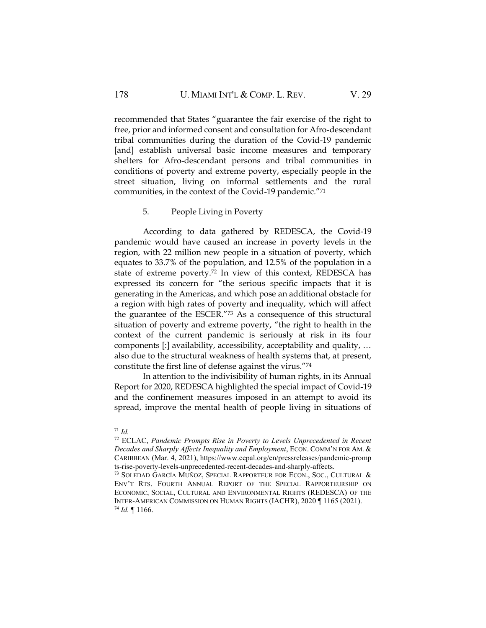recommended that States "guarantee the fair exercise of the right to free, prior and informed consent and consultation for Afro-descendant tribal communities during the duration of the Covid-19 pandemic [and] establish universal basic income measures and temporary shelters for Afro-descendant persons and tribal communities in conditions of poverty and extreme poverty, especially people in the street situation, living on informal settlements and the rural communities, in the context of the Covid-19 pandemic."<sup>71</sup>

#### 5. People Living in Poverty

According to data gathered by REDESCA, the Covid-19 pandemic would have caused an increase in poverty levels in the region, with 22 million new people in a situation of poverty, which equates to 33.7% of the population, and 12.5% of the population in a state of extreme poverty.<sup>72</sup> In view of this context, REDESCA has expressed its concern for "the serious specific impacts that it is generating in the Americas, and which pose an additional obstacle for a region with high rates of poverty and inequality, which will affect the guarantee of the ESCER."<sup>73</sup> As a consequence of this structural situation of poverty and extreme poverty, "the right to health in the context of the current pandemic is seriously at risk in its four components [:] availability, accessibility, acceptability and quality, … also due to the structural weakness of health systems that, at present, constitute the first line of defense against the virus."<sup>74</sup>

In attention to the indivisibility of human rights, in its Annual Report for 2020, REDESCA highlighted the special impact of Covid-19 and the confinement measures imposed in an attempt to avoid its spread, improve the mental health of people living in situations of

<sup>71</sup> *Id.*

<sup>72</sup> ECLAC, *Pandemic Prompts Rise in Poverty to Levels Unprecedented in Recent Decades and Sharply Affects Inequality and Employment*, ECON. COMM'N FOR AM. & CARIBBEAN (Mar. 4, 2021), https://www.cepal.org/en/pressreleases/pandemic-promp ts-rise-poverty-levels-unprecedented-recent-decades-and-sharply-affects.

<sup>&</sup>lt;sup>73</sup> SOLEDAD GARCÍA MUÑOZ, SPECIAL RAPPORTEUR FOR ECON., SOC., CULTURAL  $\&$ ENV'T RTS. FOURTH ANNUAL REPORT OF THE SPECIAL RAPPORTEURSHIP ON ECONOMIC, SOCIAL, CULTURAL AND ENVIRONMENTAL RIGHTS (REDESCA) OF THE INTER-AMERICAN COMMISSION ON HUMAN RIGHTS (IACHR), 2020 ¶ 1165 (2021). <sup>74</sup> *Id.* ¶ 1166.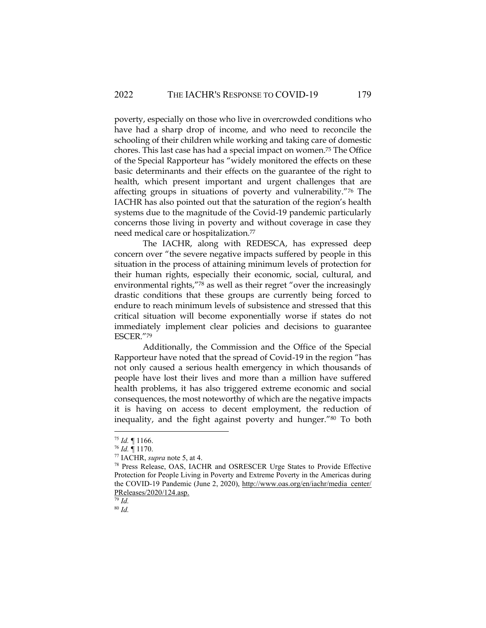poverty, especially on those who live in overcrowded conditions who have had a sharp drop of income, and who need to reconcile the schooling of their children while working and taking care of domestic chores. This last case has had a special impact on women.<sup>75</sup> The Office of the Special Rapporteur has "widely monitored the effects on these basic determinants and their effects on the guarantee of the right to health, which present important and urgent challenges that are affecting groups in situations of poverty and vulnerability."<sup>76</sup> The IACHR has also pointed out that the saturation of the region's health systems due to the magnitude of the Covid-19 pandemic particularly concerns those living in poverty and without coverage in case they need medical care or hospitalization.<sup>77</sup>

The IACHR, along with REDESCA, has expressed deep concern over "the severe negative impacts suffered by people in this situation in the process of attaining minimum levels of protection for their human rights, especially their economic, social, cultural, and environmental rights,"<sup>78</sup> as well as their regret "over the increasingly drastic conditions that these groups are currently being forced to endure to reach minimum levels of subsistence and stressed that this critical situation will become exponentially worse if states do not immediately implement clear policies and decisions to guarantee ESCER."<sup>79</sup>

Additionally, the Commission and the Office of the Special Rapporteur have noted that the spread of Covid-19 in the region "has not only caused a serious health emergency in which thousands of people have lost their lives and more than a million have suffered health problems, it has also triggered extreme economic and social consequences, the most noteworthy of which are the negative impacts it is having on access to decent employment, the reduction of inequality, and the fight against poverty and hunger."<sup>80</sup> To both

<sup>79</sup> *Id.*

<sup>80</sup> *Id.*

<sup>75</sup> *Id.* ¶ 1166.

<sup>76</sup> *Id.* ¶ 1170.

<sup>77</sup> IACHR, *supra* note 5, at 4.

<sup>78</sup> Press Release, OAS, IACHR and OSRESCER Urge States to Provide Effective Protection for People Living in Poverty and Extreme Poverty in the Americas during the COVID-19 Pandemic (June 2, 2020), [http://www.oas.org/en/iachr/media\\_center/](about:blank) [PReleases/2020/124.asp.](about:blank)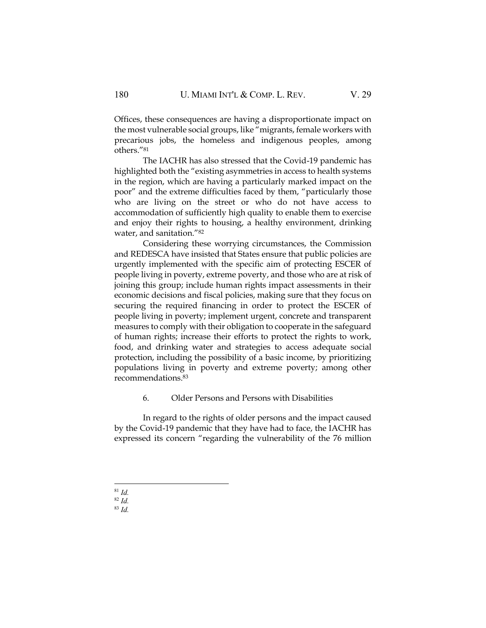Offices, these consequences are having a disproportionate impact on the most vulnerable social groups, like "migrants, female workers with precarious jobs, the homeless and indigenous peoples, among others."<sup>81</sup>

The IACHR has also stressed that the Covid-19 pandemic has highlighted both the "existing asymmetries in access to health systems in the region, which are having a particularly marked impact on the poor" and the extreme difficulties faced by them, "particularly those who are living on the street or who do not have access to accommodation of sufficiently high quality to enable them to exercise and enjoy their rights to housing, a healthy environment, drinking water, and sanitation."<sup>82</sup>

Considering these worrying circumstances, the Commission and REDESCA have insisted that States ensure that public policies are urgently implemented with the specific aim of protecting ESCER of people living in poverty, extreme poverty, and those who are at risk of joining this group; include human rights impact assessments in their economic decisions and fiscal policies, making sure that they focus on securing the required financing in order to protect the ESCER of people living in poverty; implement urgent, concrete and transparent measures to comply with their obligation to cooperate in the safeguard of human rights; increase their efforts to protect the rights to work, food, and drinking water and strategies to access adequate social protection, including the possibility of a basic income, by prioritizing populations living in poverty and extreme poverty; among other recommendations.<sup>83</sup>

6. Older Persons and Persons with Disabilities

In regard to the rights of older persons and the impact caused by the Covid-19 pandemic that they have had to face, the IACHR has expressed its concern "regarding the vulnerability of the 76 million

<sup>81</sup> *Id.*

<sup>82</sup> *Id.*

<sup>83</sup> *Id.*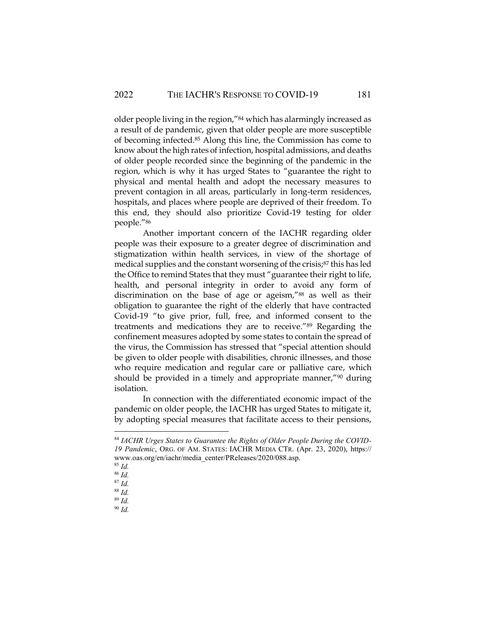older people living in the region,"<sup>84</sup> which has alarmingly increased as a result of de pandemic, given that older people are more susceptible of becoming infected.<sup>85</sup> Along this line, the Commission has come to know about the high rates of infection, hospital admissions, and deaths of older people recorded since the beginning of the pandemic in the region, which is why it has urged States to "guarantee the right to physical and mental health and adopt the necessary measures to prevent contagion in all areas, particularly in long-term residences, hospitals, and places where people are deprived of their freedom. To this end, they should also prioritize Covid-19 testing for older people."<sup>86</sup>

Another important concern of the IACHR regarding older people was their exposure to a greater degree of discrimination and stigmatization within health services, in view of the shortage of medical supplies and the constant worsening of the crisis;<sup>87</sup> this has led the Office to remind States that they must "guarantee their right to life, health, and personal integrity in order to avoid any form of discrimination on the base of age or ageism,"<sup>88</sup> as well as their obligation to guarantee the right of the elderly that have contracted Covid-19 "to give prior, full, free, and informed consent to the treatments and medications they are to receive."<sup>89</sup> Regarding the confinement measures adopted by some states to contain the spread of the virus, the Commission has stressed that "special attention should be given to older people with disabilities, chronic illnesses, and those who require medication and regular care or palliative care, which should be provided in a timely and appropriate manner,"<sup>90</sup> during isolation.

In connection with the differentiated economic impact of the pandemic on older people, the IACHR has urged States to mitigate it, by adopting special measures that facilitate access to their pensions,

<sup>85</sup> *Id.*

<sup>90</sup> *Id.*

<sup>84</sup> *IACHR Urges States to Guarantee the Rights of Older People During the COVID-19 Pandemic*, ORG. OF AM. STATES: IACHR MEDIA CTR. (Apr. 23, 2020), https:// www.oas.org/en/iachr/media\_center/PReleases/2020/088.asp.

<sup>86</sup> *Id.*

<sup>87</sup> *Id.*

<sup>88</sup> *Id.*

<sup>89</sup> *Id.*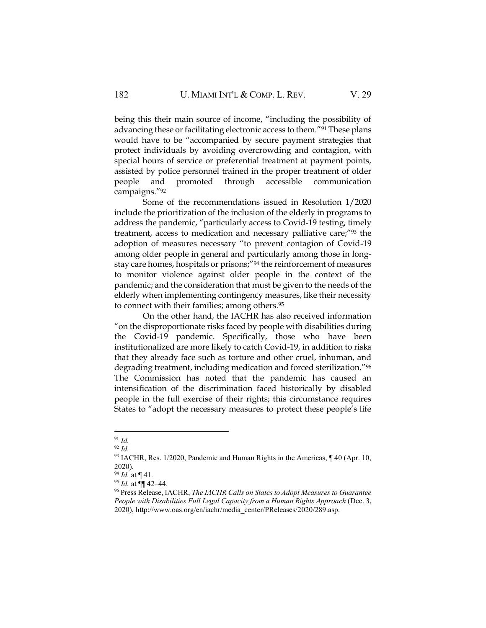being this their main source of income, "including the possibility of advancing these or facilitating electronic access to them."<sup>91</sup> These plans would have to be "accompanied by secure payment strategies that protect individuals by avoiding overcrowding and contagion, with special hours of service or preferential treatment at payment points, assisted by police personnel trained in the proper treatment of older people and promoted through accessible communication campaigns."<sup>92</sup>

Some of the recommendations issued in Resolution 1/2020 include the prioritization of the inclusion of the elderly in programs to address the pandemic, "particularly access to Covid-19 testing, timely treatment, access to medication and necessary palliative care;"<sup>93</sup> the adoption of measures necessary "to prevent contagion of Covid-19 among older people in general and particularly among those in longstay care homes, hospitals or prisons;"<sup>94</sup> the reinforcement of measures to monitor violence against older people in the context of the pandemic; and the consideration that must be given to the needs of the elderly when implementing contingency measures, like their necessity to connect with their families; among others.<sup>95</sup>

On the other hand, the IACHR has also received information "on the disproportionate risks faced by people with disabilities during the Covid-19 pandemic. Specifically, those who have been institutionalized are more likely to catch Covid-19, in addition to risks that they already face such as torture and other cruel, inhuman, and degrading treatment, including medication and forced sterilization."<sup>96</sup> The Commission has noted that the pandemic has caused an intensification of the discrimination faced historically by disabled people in the full exercise of their rights; this circumstance requires States to "adopt the necessary measures to protect these people's life

<sup>91</sup> *Id.*

<sup>92</sup> *Id.*

<sup>93</sup> IACHR, Res. 1/2020, Pandemic and Human Rights in the Americas, ¶ 40 (Apr. 10, 2020).

<sup>94</sup> *Id.* at ¶ 41.

<sup>95</sup> *Id.* at ¶¶ 42–44.

<sup>96</sup> Press Release, IACHR, *The IACHR Calls on States to Adopt Measures to Guarantee People with Disabilities Full Legal Capacity from a Human Rights Approach* (Dec. 3, 2020), http://www.oas.org/en/iachr/media\_center/PReleases/2020/289.asp.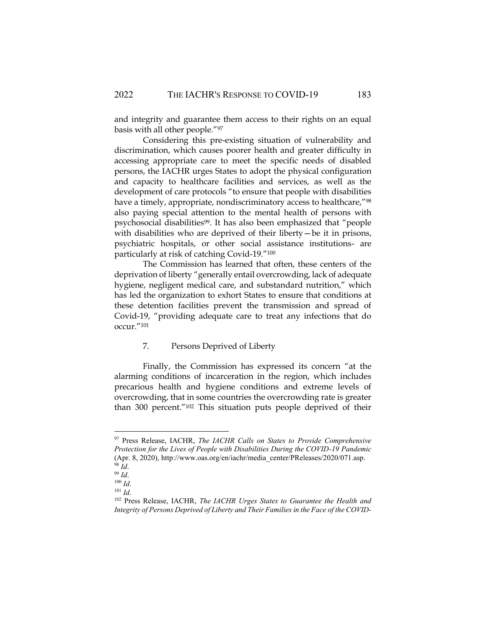and integrity and guarantee them access to their rights on an equal basis with all other people."<sup>97</sup>

Considering this pre-existing situation of vulnerability and discrimination, which causes poorer health and greater difficulty in accessing appropriate care to meet the specific needs of disabled persons, the IACHR urges States to adopt the physical configuration and capacity to healthcare facilities and services, as well as the development of care protocols "to ensure that people with disabilities have a timely, appropriate, nondiscriminatory access to healthcare,"98 also paying special attention to the mental health of persons with psychosocial disabilities<sup>99</sup>. It has also been emphasized that "people with disabilities who are deprived of their liberty—be it in prisons, psychiatric hospitals, or other social assistance institutions- are particularly at risk of catching Covid-19."<sup>100</sup>

The Commission has learned that often, these centers of the deprivation of liberty "generally entail overcrowding, lack of adequate hygiene, negligent medical care, and substandard nutrition," which has led the organization to exhort States to ensure that conditions at these detention facilities prevent the transmission and spread of Covid-19, "providing adequate care to treat any infections that do occur."<sup>101</sup>

#### 7. Persons Deprived of Liberty

Finally, the Commission has expressed its concern "at the alarming conditions of incarceration in the region, which includes precarious health and hygiene conditions and extreme levels of overcrowding, that in some countries the overcrowding rate is greater than 300 percent."<sup>102</sup> This situation puts people deprived of their

<sup>97</sup> Press Release, IACHR, *The IACHR Calls on States to Provide Comprehensive Protection for the Lives of People with Disabilities During the COVID-19 Pandemic* (Apr. 8, 2020), http://www.oas.org/en/iachr/media\_center/PReleases/2020/071.asp. <sup>98</sup> *Id*.

<sup>99</sup> *Id*.

<sup>100</sup> *Id*.

<sup>101</sup> *Id*.

<sup>102</sup> Press Release, IACHR, *The IACHR Urges States to Guarantee the Health and Integrity of Persons Deprived of Liberty and Their Families in the Face of the COVID-*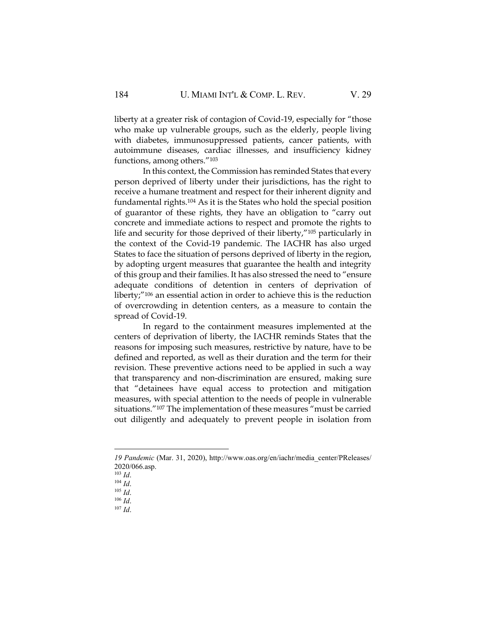liberty at a greater risk of contagion of Covid-19, especially for "those who make up vulnerable groups, such as the elderly, people living with diabetes, immunosuppressed patients, cancer patients, with autoimmune diseases, cardiac illnesses, and insufficiency kidney functions, among others."<sup>103</sup>

In this context, the Commission has reminded States that every person deprived of liberty under their jurisdictions, has the right to receive a humane treatment and respect for their inherent dignity and fundamental rights.<sup>104</sup> As it is the States who hold the special position of guarantor of these rights, they have an obligation to "carry out concrete and immediate actions to respect and promote the rights to life and security for those deprived of their liberty,"<sup>105</sup> particularly in the context of the Covid-19 pandemic. The IACHR has also urged States to face the situation of persons deprived of liberty in the region, by adopting urgent measures that guarantee the health and integrity of this group and their families. It has also stressed the need to "ensure adequate conditions of detention in centers of deprivation of liberty;"<sup>106</sup> an essential action in order to achieve this is the reduction of overcrowding in detention centers, as a measure to contain the spread of Covid-19.

In regard to the containment measures implemented at the centers of deprivation of liberty, the IACHR reminds States that the reasons for imposing such measures, restrictive by nature, have to be defined and reported, as well as their duration and the term for their revision. These preventive actions need to be applied in such a way that transparency and non-discrimination are ensured, making sure that "detainees have equal access to protection and mitigation measures, with special attention to the needs of people in vulnerable situations."<sup>107</sup> The implementation of these measures "must be carried out diligently and adequately to prevent people in isolation from

*<sup>19</sup> Pandemic* (Mar. 31, 2020), http://www.oas.org/en/iachr/media\_center/PReleases/ 2020/066.asp.

<sup>103</sup> *Id*.

<sup>104</sup> *Id*.

<sup>105</sup> *Id*.

<sup>106</sup> *Id*.

<sup>107</sup> *Id*.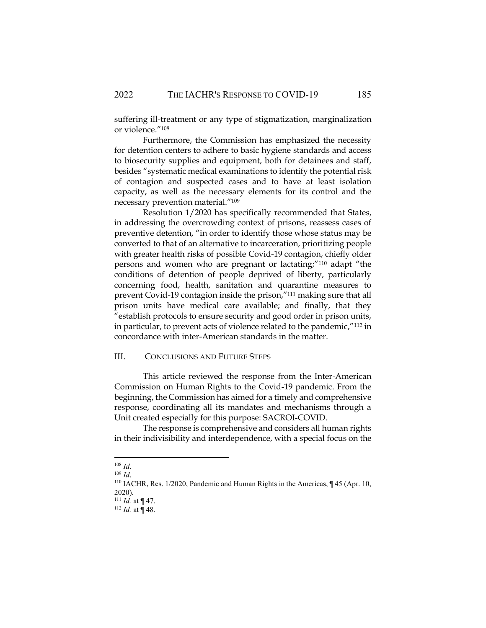suffering ill-treatment or any type of stigmatization, marginalization or violence."<sup>108</sup>

Furthermore, the Commission has emphasized the necessity for detention centers to adhere to basic hygiene standards and access to biosecurity supplies and equipment, both for detainees and staff, besides "systematic medical examinations to identify the potential risk of contagion and suspected cases and to have at least isolation capacity, as well as the necessary elements for its control and the necessary prevention material."<sup>109</sup>

Resolution 1/2020 has specifically recommended that States, in addressing the overcrowding context of prisons, reassess cases of preventive detention, "in order to identify those whose status may be converted to that of an alternative to incarceration, prioritizing people with greater health risks of possible Covid-19 contagion, chiefly older persons and women who are pregnant or lactating;"<sup>110</sup> adapt "the conditions of detention of people deprived of liberty, particularly concerning food, health, sanitation and quarantine measures to prevent Covid-19 contagion inside the prison,"<sup>111</sup> making sure that all prison units have medical care available; and finally, that they "establish protocols to ensure security and good order in prison units, in particular, to prevent acts of violence related to the pandemic,"<sup>112</sup> in concordance with inter-American standards in the matter.

#### III. CONCLUSIONS AND FUTURE STEPS

This article reviewed the response from the Inter-American Commission on Human Rights to the Covid-19 pandemic. From the beginning, the Commission has aimed for a timely and comprehensive response, coordinating all its mandates and mechanisms through a Unit created especially for this purpose: SACROI-COVID.

The response is comprehensive and considers all human rights in their indivisibility and interdependence, with a special focus on the

<sup>108</sup> *Id*.

<sup>109</sup> *Id*.

<sup>110</sup> IACHR, Res. 1/2020, Pandemic and Human Rights in the Americas, ¶ 45 (Apr. 10, 2020).

<sup>111</sup> *Id.* at ¶ 47.

 $112$  *Id.* at  $\overline{9}$  48.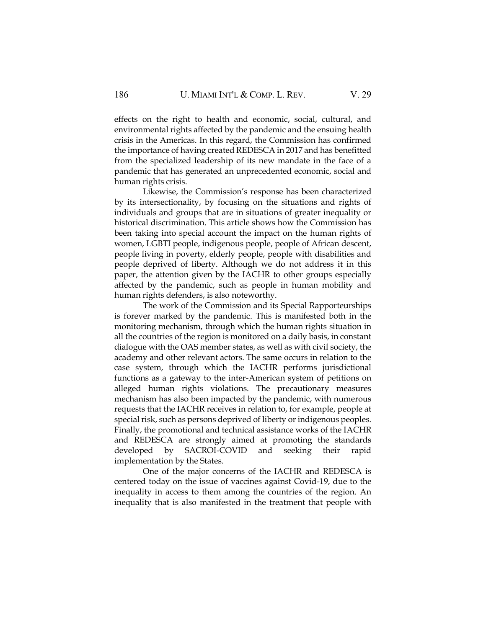effects on the right to health and economic, social, cultural, and environmental rights affected by the pandemic and the ensuing health crisis in the Americas. In this regard, the Commission has confirmed the importance of having created REDESCA in 2017 and has benefitted from the specialized leadership of its new mandate in the face of a pandemic that has generated an unprecedented economic, social and human rights crisis.

Likewise, the Commission's response has been characterized by its intersectionality, by focusing on the situations and rights of individuals and groups that are in situations of greater inequality or historical discrimination. This article shows how the Commission has been taking into special account the impact on the human rights of women, LGBTI people, indigenous people, people of African descent, people living in poverty, elderly people, people with disabilities and people deprived of liberty. Although we do not address it in this paper, the attention given by the IACHR to other groups especially affected by the pandemic, such as people in human mobility and human rights defenders, is also noteworthy.

The work of the Commission and its Special Rapporteurships is forever marked by the pandemic. This is manifested both in the monitoring mechanism, through which the human rights situation in all the countries of the region is monitored on a daily basis, in constant dialogue with the OAS member states, as well as with civil society, the academy and other relevant actors. The same occurs in relation to the case system, through which the IACHR performs jurisdictional functions as a gateway to the inter-American system of petitions on alleged human rights violations. The precautionary measures mechanism has also been impacted by the pandemic, with numerous requests that the IACHR receives in relation to, for example, people at special risk, such as persons deprived of liberty or indigenous peoples. Finally, the promotional and technical assistance works of the IACHR and REDESCA are strongly aimed at promoting the standards developed by SACROI-COVID and seeking their rapid implementation by the States.

One of the major concerns of the IACHR and REDESCA is centered today on the issue of vaccines against Covid-19, due to the inequality in access to them among the countries of the region. An inequality that is also manifested in the treatment that people with